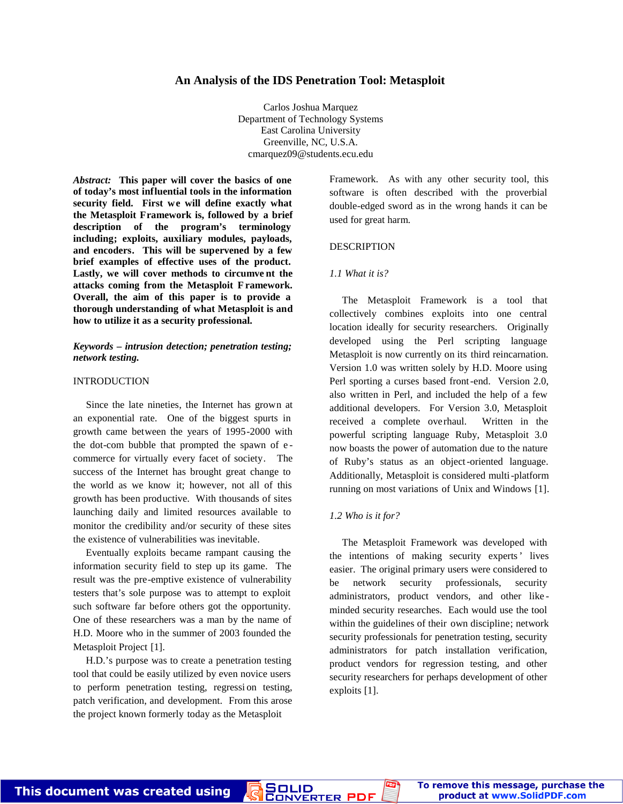# **An Analysis of the IDS Penetration Tool: Metasploit**

Carlos Joshua Marquez Department of Technology Systems East Carolina University Greenville, NC, U.S.A. cmarquez09@students.ecu.edu

*Abstract:* **This paper will cover the basics of one of today's most influential tools in the information security field. First we will define exactly what the Metasploit Framework is, followed by a brief description of the program's terminology including; exploits, auxiliary modules, payloads, and encoders. This will be supervened by a few brief examples of effective uses of the product. Lastly, we will cover methods to circumve nt the attacks coming from the Metasploit F ramework. Overall, the aim of this paper is to provide a thorough understanding of what Metasploit is and how to utilize it as a security professional.**

# *Keywords – intrusion detection; penetration testing; network testing.*

## INTRODUCTION

Since the late nineties, the Internet has grown at an exponential rate. One of the biggest spurts in growth came between the years of 1995-2000 with the dot-com bubble that prompted the spawn of e commerce for virtually every facet of society. The success of the Internet has brought great change to the world as we know it; however, not all of this growth has been productive. With thousands of sites launching daily and limited resources available to monitor the credibility and/or security of these sites the existence of vulnerabilities was inevitable.

 Eventually exploits became rampant causing the information security field to step up its game. The result was the pre-emptive existence of vulnerability testers that's sole purpose was to attempt to exploit such software far before others got the opportunity. One of these researchers was a man by the name of H.D. Moore who in the summer of 2003 founded the Metasploit Project [1].

 H.D.'s purpose was to create a penetration testing tool that could be easily utilized by even novice users to perform penetration testing, regressi on testing, patch verification, and development. From this arose the project known formerly today as the Metasploit

This document was created using

Framework. As with any other security tool, this software is often described with the proverbial double-edged sword as in the wrong hands it can be used for great harm.

## DESCRIPTION

### *1.1 What it is?*

 The Metasploit Framework is a tool that collectively combines exploits into one central location ideally for security researchers. Originally developed using the Perl scripting language Metasploit is now currently on its third reincarnation. Version 1.0 was written solely by H.D. Moore using Perl sporting a curses based front-end. Version 2.0, also written in Perl, and included the help of a few additional developers. For Version 3.0, Metasploit received a complete overhaul. Written in the powerful scripting language Ruby, Metasploit 3.0 now boasts the power of automation due to the nature of Ruby's status as an object-oriented language. Additionally, Metasploit is considered multi-platform running on most variations of Unix and Windows [1].

#### *1.2 Who is it for?*

 The Metasploit Framework was developed with the intentions of making security experts' lives easier. The original primary users were considered to be network security professionals, security administrators, product vendors, and other like minded security researches. Each would use the tool within the guidelines of their own discipline; network security professionals for penetration testing, security administrators for patch installation verification, product vendors for regression testing, and other security researchers for perhaps development of other exploits [1].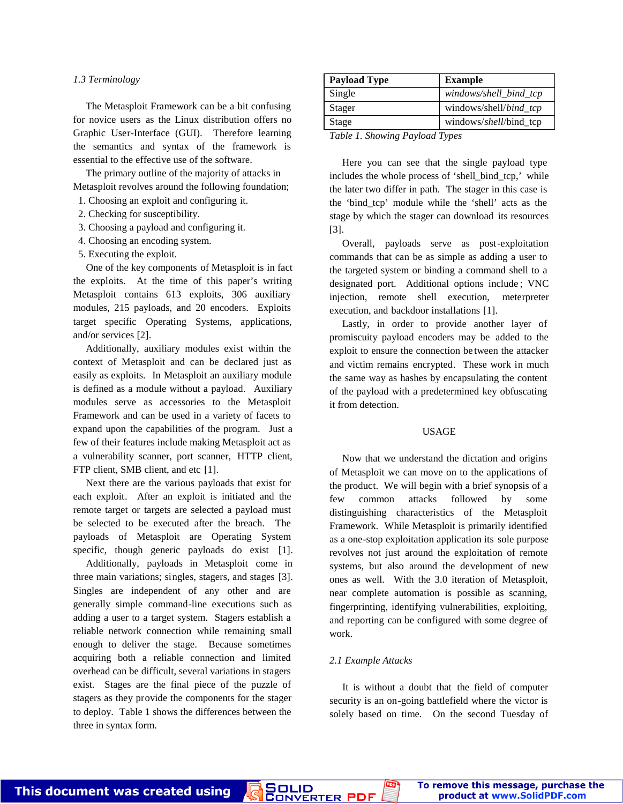### *1.3 Terminology*

 The Metasploit Framework can be a bit confusing for novice users as the Linux distribution offers no Graphic User-Interface (GUI). Therefore learning the semantics and syntax of the framework is essential to the effective use of the software.

The primary outline of the majority of attacks in Metasploit revolves around the following foundation;

- 1. Choosing an exploit and configuring it.
- 2. Checking for susceptibility.
- 3. Choosing a payload and configuring it.
- 4. Choosing an encoding system.
- 5. Executing the exploit.

One of the key components of Metasploit is in fact the exploits. At the time of this paper's writing Metasploit contains 613 exploits, 306 auxiliary modules, 215 payloads, and 20 encoders. Exploits target specific Operating Systems, applications, and/or services [2].

 Additionally, auxiliary modules exist within the context of Metasploit and can be declared just as easily as exploits. In Metasploit an auxiliary module is defined as a module without a payload. Auxiliary modules serve as accessories to the Metasploit Framework and can be used in a variety of facets to expand upon the capabilities of the program. Just a few of their features include making Metasploit act as a vulnerability scanner, port scanner, HTTP client, FTP client, SMB client, and etc [1].

 Next there are the various payloads that exist for each exploit. After an exploit is initiated and the remote target or targets are selected a payload must be selected to be executed after the breach. The payloads of Metasploit are Operating System specific, though generic payloads do exist [1].

Additionally, payloads in Metasploit come in three main variations; singles, stagers, and stages [3]. Singles are independent of any other and are generally simple command-line executions such as adding a user to a target system. Stagers establish a reliable network connection while remaining small enough to deliver the stage. Because sometimes acquiring both a reliable connection and limited overhead can be difficult, several variations in stagers exist. Stages are the final piece of the puzzle of stagers as they provide the components for the stager to deploy. Table 1 shows the differences between the three in syntax form.

| <b>Payload Type</b>            | <b>Example</b>                 |
|--------------------------------|--------------------------------|
| Single                         | windows/shell_bind_tcp         |
| Stager                         | windows/shell/ <i>bind_tcp</i> |
| Stage                          | windows/shell/bind_tcp         |
| Table 1. Showing Payload Types |                                |

 Here you can see that the single payload type includes the whole process of 'shell\_bind\_tcp,' while the later two differ in path. The stager in this case is the 'bind\_tcp' module while the 'shell' acts as the stage by which the stager can download its resources [3].

 Overall, payloads serve as post-exploitation commands that can be as simple as adding a user to the targeted system or binding a command shell to a designated port. Additional options include ; VNC injection, remote shell execution, meterpreter execution, and backdoor installations [1].

 Lastly, in order to provide another layer of promiscuity payload encoders may be added to the exploit to ensure the connection be tween the attacker and victim remains encrypted. These work in much the same way as hashes by encapsulating the content of the payload with a predetermined key obfuscating it from detection.

#### USAGE

 Now that we understand the dictation and origins of Metasploit we can move on to the applications of the product. We will begin with a brief synopsis of a few common attacks followed by some distinguishing characteristics of the Metasploit Framework. While Metasploit is primarily identified as a one-stop exploitation application its sole purpose revolves not just around the exploitation of remote systems, but also around the development of new ones as well. With the 3.0 iteration of Metasploit, near complete automation is possible as scanning, fingerprinting, identifying vulnerabilities, exploiting, and reporting can be configured with some degree of work.

# *2.1 Example Attacks*

**PDF** 

It is without a doubt that the field of computer security is an on-going battlefield where the victor is solely based on time. On the second Tuesday of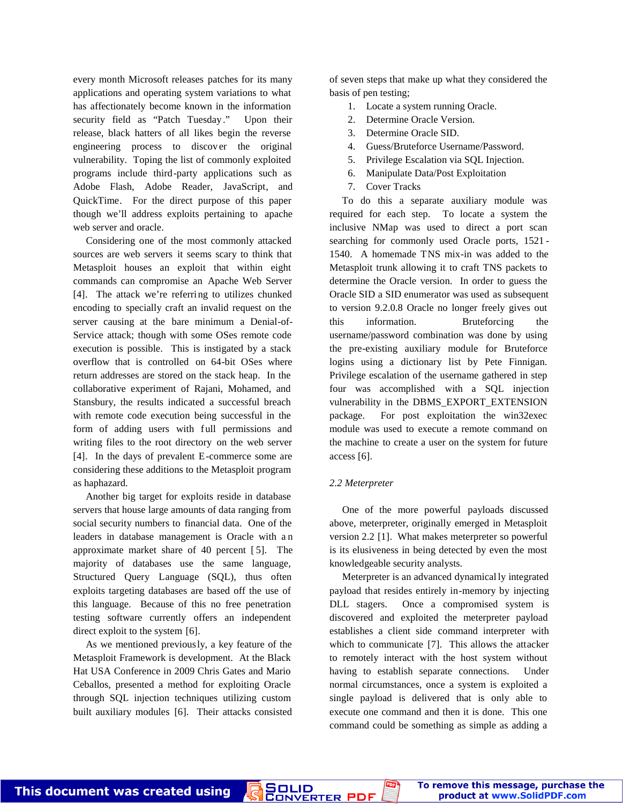every month Microsoft releases patches for its many applications and operating system variations to what has affectionately become known in the information security field as "Patch Tuesday." Upon their release, black hatters of all likes begin the reverse engineering process to discover the original vulnerability. Toping the list of commonly exploited programs include third-party applications such as Adobe Flash, Adobe Reader, JavaScript, and QuickTime. For the direct purpose of this paper though we'll address exploits pertaining to apache web server and oracle.

Considering one of the most commonly attacked sources are web servers it seems scary to think that Metasploit houses an exploit that within eight commands can compromise an Apache Web Server [4]. The attack we're referring to utilizes chunked encoding to specially craft an invalid request on the server causing at the bare minimum a Denial-of-Service attack; though with some OSes remote code execution is possible. This is instigated by a stack overflow that is controlled on 64-bit OSes where return addresses are stored on the stack heap. In the collaborative experiment of Rajani, Mohamed, and Stansbury, the results indicated a successful breach with remote code execution being successful in the form of adding users with full permissions and writing files to the root directory on the web server [4]. In the days of prevalent E-commerce some are considering these additions to the Metasploit program as haphazard.

 Another big target for exploits reside in database servers that house large amounts of data ranging from social security numbers to financial data. One of the leaders in database management is Oracle with a n approximate market share of 40 percent [ 5]. The majority of databases use the same language, Structured Query Language (SQL), thus often exploits targeting databases are based off the use of this language. Because of this no free penetration testing software currently offers an independent direct exploit to the system [6].

 As we mentioned previously, a key feature of the Metasploit Framework is development. At the Black Hat USA Conference in 2009 Chris Gates and Mario Ceballos, presented a method for exploiting Oracle through SQL injection techniques utilizing custom built auxiliary modules [6]. Their attacks consisted

This document was created using

of seven steps that make up what they considered the basis of pen testing;

- 1. Locate a system running Oracle.
- 2. Determine Oracle Version.
- 3. Determine Oracle SID.
- 4. Guess/Bruteforce Username/Password.
- 5. Privilege Escalation via SQL Injection.
- 6. Manipulate Data/Post Exploitation
- 7. Cover Tracks

 To do this a separate auxiliary module was required for each step. To locate a system the inclusive NMap was used to direct a port scan searching for commonly used Oracle ports, 1521 - 1540. A homemade TNS mix-in was added to the Metasploit trunk allowing it to craft TNS packets to determine the Oracle version. In order to guess the Oracle SID a SID enumerator was used as subsequent to version 9.2.0.8 Oracle no longer freely gives out this information. Bruteforcing the username/password combination was done by using the pre-existing auxiliary module for Bruteforce logins using a dictionary list by Pete Finnigan. Privilege escalation of the username gathered in step four was accomplished with a SQL injection vulnerability in the DBMS\_EXPORT\_EXTENSION package. For post exploitation the win32exec module was used to execute a remote command on the machine to create a user on the system for future access [6].

### *2.2 Meterpreter*

 One of the more powerful payloads discussed above, meterpreter, originally emerged in Metasploit version 2.2 [1]. What makes meterpreter so powerful is its elusiveness in being detected by even the most knowledgeable security analysts.

 Meterpreter is an advanced dynamical ly integrated payload that resides entirely in-memory by injecting DLL stagers. Once a compromised system is discovered and exploited the meterpreter payload establishes a client side command interpreter with which to communicate [7]. This allows the attacker to remotely interact with the host system without having to establish separate connections. Under normal circumstances, once a system is exploited a single payload is delivered that is only able to execute one command and then it is done. This one command could be something as simple as adding a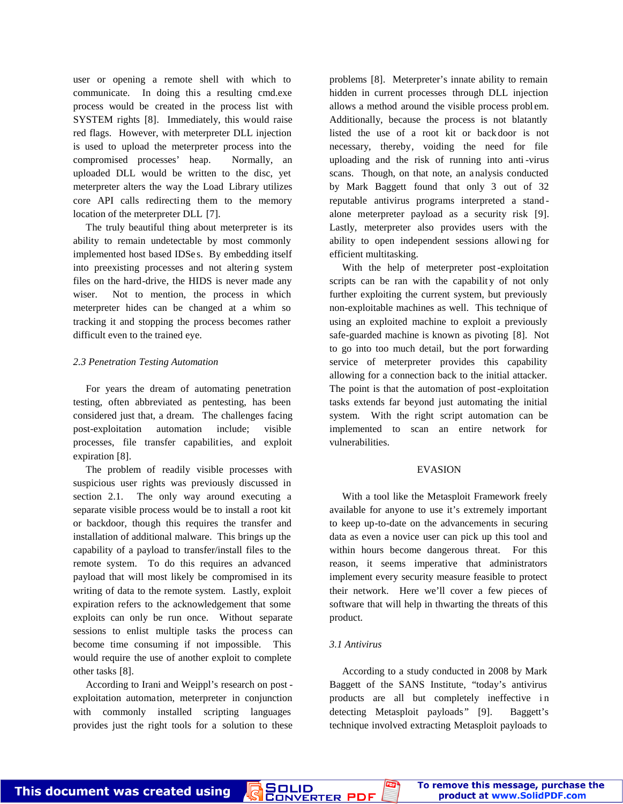user or opening a remote shell with which to communicate. In doing this a resulting cmd.exe process would be created in the process list with SYSTEM rights [8]. Immediately, this would raise red flags. However, with meterpreter DLL injection is used to upload the meterpreter process into the compromised processes' heap. Normally, an uploaded DLL would be written to the disc, yet meterpreter alters the way the Load Library utilizes core API calls redirecting them to the memory location of the meterpreter DLL [7].

 The truly beautiful thing about meterpreter is its ability to remain undetectable by most commonly implemented host based IDSe s. By embedding itself into preexisting processes and not alterin g system files on the hard-drive, the HIDS is never made any wiser. Not to mention, the process in which meterpreter hides can be changed at a whim so tracking it and stopping the process becomes rather difficult even to the trained eye.

## *2.3 Penetration Testing Automation*

 For years the dream of automating penetration testing, often abbreviated as pentesting, has been considered just that, a dream. The challenges facing post-exploitation automation include; visible processes, file transfer capabilities, and exploit expiration [8].

 The problem of readily visible processes with suspicious user rights was previously discussed in section 2.1. The only way around executing a separate visible process would be to install a root kit or backdoor, though this requires the transfer and installation of additional malware. This brings up the capability of a payload to transfer/install files to the remote system. To do this requires an advanced payload that will most likely be compromised in its writing of data to the remote system. Lastly, exploit expiration refers to the acknowledgement that some exploits can only be run once. Without separate sessions to enlist multiple tasks the process can become time consuming if not impossible. This would require the use of another exploit to complete other tasks [8].

 According to Irani and Weippl's research on post exploitation automation, meterpreter in conjunction with commonly installed scripting languages provides just the right tools for a solution to these

This document was created using

problems [8]. Meterpreter's innate ability to remain hidden in current processes through DLL injection allows a method around the visible process problem. Additionally, because the process is not blatantly listed the use of a root kit or back door is not necessary, thereby, voiding the need for file uploading and the risk of running into anti -virus scans. Though, on that note, an a nalysis conducted by Mark Baggett found that only 3 out of 32 reputable antivirus programs interpreted a stand alone meterpreter payload as a security risk [9]. Lastly, meterpreter also provides users with the ability to open independent sessions allowi ng for efficient multitasking.

 With the help of meterpreter post-exploitation scripts can be ran with the capability of not only further exploiting the current system, but previously non-exploitable machines as well. This technique of using an exploited machine to exploit a previously safe-guarded machine is known as pivoting [8]. Not to go into too much detail, but the port forwarding service of meterpreter provides this capability allowing for a connection back to the initial attacker. The point is that the automation of post-exploitation tasks extends far beyond just automating the initial system. With the right script automation can be implemented to scan an entire network for vulnerabilities.

### EVASION

 With a tool like the Metasploit Framework freely available for anyone to use it's extremely important to keep up-to-date on the advancements in securing data as even a novice user can pick up this tool and within hours become dangerous threat. For this reason, it seems imperative that administrators implement every security measure feasible to protect their network. Here we'll cover a few pieces of software that will help in thwarting the threats of this product.

# *3.1 Antivirus*

PDE

SOLID<br>Converter

 According to a study conducted in 2008 by Mark Baggett of the SANS Institute, "today's antivirus products are all but completely ineffective in detecting Metasploit payloads" [9]. Baggett's technique involved extracting Metasploit payloads to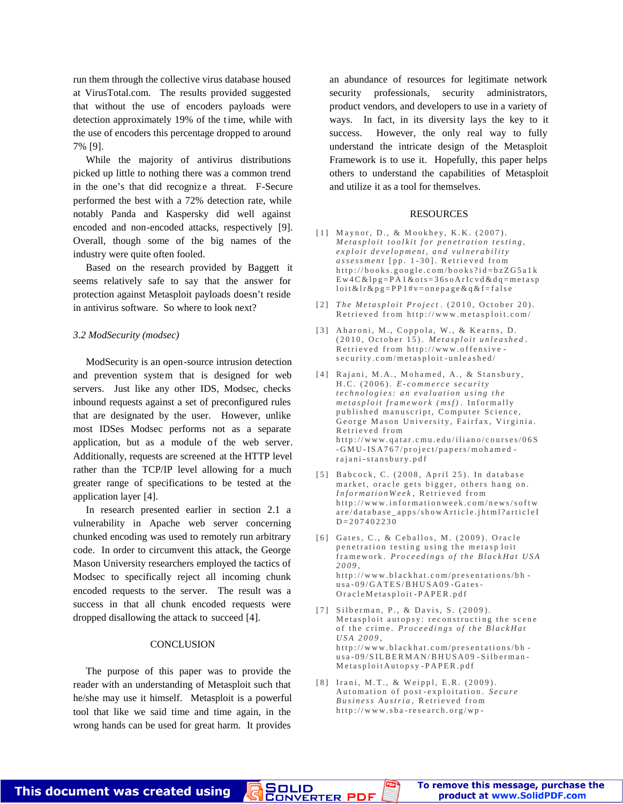run them through the collective virus database housed at VirusTotal.com. The results provided suggested that without the use of encoders payloads were detection approximately 19% of the time, while with the use of encoders this percentage dropped to around 7% [9].

 While the majority of antivirus distributions picked up little to nothing there was a common trend in the one's that did recognize a threat. F-Secure performed the best with a 72% detection rate, while notably Panda and Kaspersky did well against encoded and non-encoded attacks, respectively [9]. Overall, though some of the big names of the industry were quite often fooled.

 Based on the research provided by Baggett it seems relatively safe to say that the answer for protection against Metasploit payloads doesn't reside in antivirus software. So where to look next?

## *3.2 ModSecurity (modsec)*

 ModSecurity is an open-source intrusion detection and prevention system that is designed for web servers. Just like any other IDS, Modsec, checks inbound requests against a set of preconfigured rules that are designated by the user. However, unlike most IDSes Modsec performs not as a separate application, but as a module of the web server. Additionally, requests are screened at the HTTP level rather than the TCP/IP level allowing for a much greater range of specifications to be tested at the application layer [4].

 In research presented earlier in section 2.1 a vulnerability in Apache web server concerning chunked encoding was used to remotely run arbitrary code. In order to circumvent this attack, the George Mason University researchers employed the tactics of Modsec to specifically reject all incoming chunk encoded requests to the server. The result was a success in that all chunk encoded requests were dropped disallowing the attack to succeed [4].

## **CONCLUSION**

The purpose of this paper was to provide the reader with an understanding of Metasploit such that he/she may use it himself. Metasploit is a powerful tool that like we said time and time again, in the wrong hands can be used for great harm. It provides

an abundance of resources for legitimate network security professionals, security administrators, product vendors, and developers to use in a variety of ways. In fact, in its diversity lays the key to it success. However, the only real way to fully understand the intricate design of the Metasploit Framework is to use it. Hopefully, this paper helps others to understand the capabilities of Metasploit and utilize it as a tool for themselves.

#### RESOURCES

- [1] Maynor, D., & Mookhey, K.K. (2007). *M e t a s p l o i t t o o l k i t f o r p e n e t r a t i o n t e s t i n g ,*  $exploit\ development, \ and\ vulnerable$ *assessment* [pp. 1-30]. Retrieved from  $http://books.google.com/books?id=bzZG5a1k$  $E w 4 C & 1 p g = P A 1 & 0 t s = 36 s o A r I c v d & d q = m e t a s p$  $\text{loit}\&\text{lr}\&\text{p}\&\text{g}=PP1\#v=\text{on}\,\text{epage}\&\text{q}\&\text{f}=false$
- [2] *The Metasploit Project.* (2010, October 20). Retrieved from http://www.metasploit.com/
- [3] Aharoni, M., Coppola, W., & Kearns, D. (2010, October 15). *Metasploit unleashed*. Retrieved from http://www.offensives e c u r i t y . c o m / m e t a s p l o i t - u n l e a s h e d /
- [4] Rajani, M.A., Mohamed, A., & Stansbury, H . C . ( 2 0 0 6 ) . *E - c o m m e r c e s e c u r i t y t e c h n o l o g i e s : a n e v a l u a t i o n u s i n g t h e*  $meta sploit$  framework (msf). Informally published manuscript, Computer Science, George Mason University, Fairfax, Virginia. R etrieved from  $http://www.qatar.cmu.edu/iliano/courses/06S$ - GMU - ISA 767/project/papers/mohamedrajani-stansbury.pdf
- [5] Babcock, C. (2008, April 25). In database market, oracle gets bigger, others hang on. *InformationWeek*, Retrieved from http://www.informationweek.com/news/softw are/database\_apps/showArticle.jhtml?articleI  $D = 207402230$
- [6] Gates, C., & Ceballos, M. (2009). Oracle penetration testing using the metasploit framework. Proceedings of the BlackHat USA *2 0 0 9* , http://www.blackhat.com/presentations/bh  $us a - 09/GATES/BHUSA09 - Gates -$ Or a c l e M e t a s p l o i t - P A P E R . p d f
- [7] Silberman, P., & Davis, S. (2009). Metasploit autopsy: reconstructing the scene of the crime. Proceedings of the BlackHat *U S A 2 0 0 9* ,  $http://www.blackhat.com/presentations/bh http://www.blackhat.com/presentations/bh$ usa-09/SILBERMAN/BHUSA09-Silberman-Metasploit Autopsy-PAPER.pdf
- [8] Irani, M.T., & Weippl, E.R. (2009). Automation of post-exploitation. Secure *Business Austria*, Retrieved from  $http://www.sba-research.org/wp-$

<mark>SOLID</mark><br>CONVERTER PDF

This document was created using